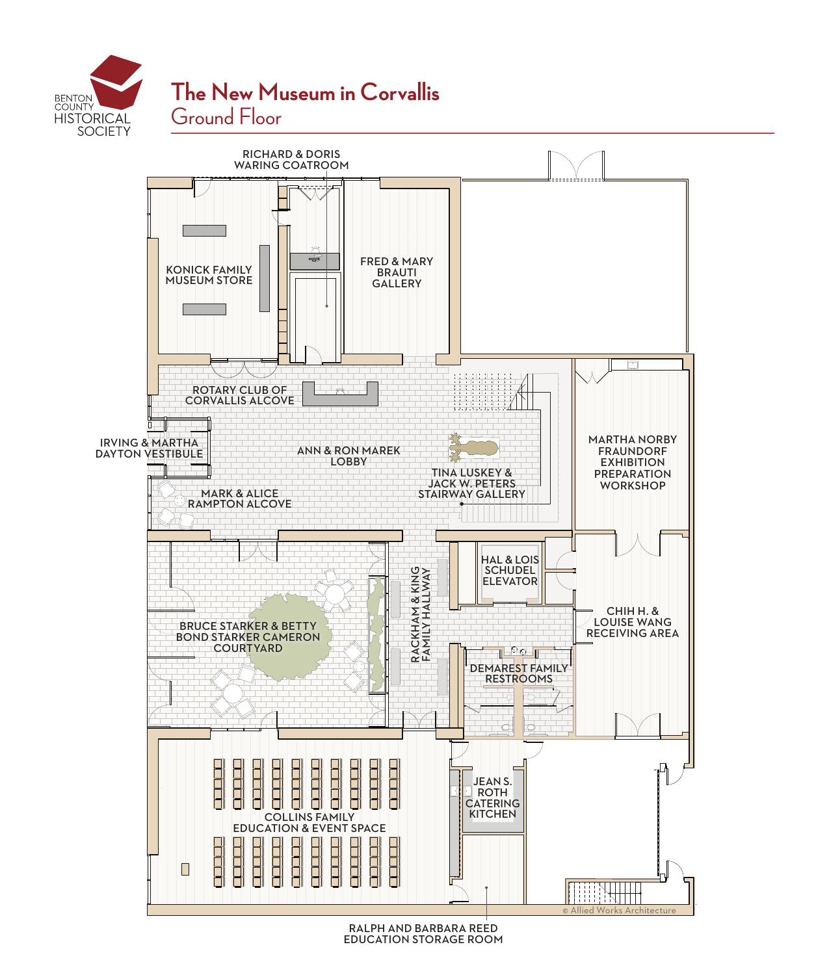



RALPH AND BARBARA REED EDUCATION STORAGE ROOM